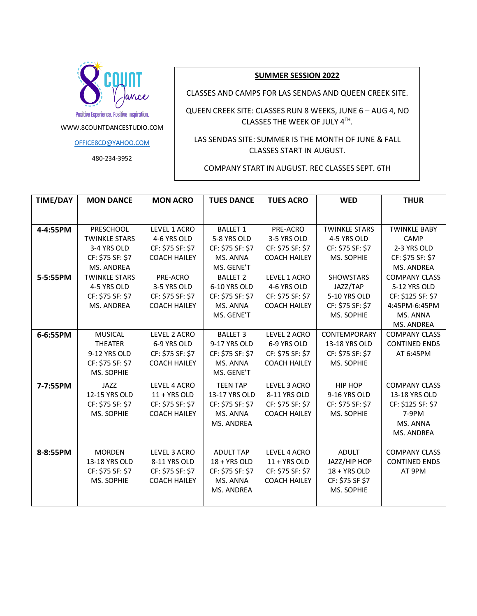

WWW.8COUNTDANCESTUDIO.COM

[OFFICE8CD@YAHOO.COM](mailto:OFFICE8CD@YAHOO.COM)

480-234-3952

#### **SUMMER SESSION 2022**

CLASSES AND CAMPS FOR LAS SENDAS AND QUEEN CREEK SITE.

QUEEN CREEK SITE: CLASSES RUN 8 WEEKS, JUNE 6 – AUG 4, NO CLASSES THE WEEK OF JULY  $4<sup>TH</sup>$ .

LAS SENDAS SITE: SUMMER IS THE MONTH OF JUNE & FALL CLASSES START IN AUGUST.

COMPANY START IN AUGUST. REC CLASSES SEPT. 6TH

| <b>TIME/DAY</b> | <b>MON DANCE</b>     | <b>MON ACRO</b>     | <b>TUES DANCE</b> | <b>TUES ACRO</b>    | <b>WED</b>           | <b>THUR</b>          |
|-----------------|----------------------|---------------------|-------------------|---------------------|----------------------|----------------------|
|                 |                      |                     |                   |                     |                      |                      |
| 4-4:55PM        | PRESCHOOL            | LEVEL 1 ACRO        | <b>BALLET 1</b>   | PRE-ACRO            | <b>TWINKLE STARS</b> | <b>TWINKLE BABY</b>  |
|                 | <b>TWINKLE STARS</b> | 4-6 YRS OLD         | 5-8 YRS OLD       | 3-5 YRS OLD         | 4-5 YRS OLD          | CAMP                 |
|                 | 3-4 YRS OLD          | CF: \$75 SF: \$7    | CF: \$75 SF: \$7  | CF: \$75 SF: \$7    | CF: \$75 SF: \$7     | 2-3 YRS OLD          |
|                 | CF: \$75 SF: \$7     | <b>COACH HAILEY</b> | MS. ANNA          | <b>COACH HAILEY</b> | MS. SOPHIE           | CF: \$75 SF: \$7     |
|                 | <b>MS. ANDREA</b>    |                     | MS. GENE'T        |                     |                      | MS. ANDREA           |
| 5-5:55PM        | <b>TWINKLE STARS</b> | PRE-ACRO            | <b>BALLET 2</b>   | LEVEL 1 ACRO        | <b>SHOWSTARS</b>     | <b>COMPANY CLASS</b> |
|                 | 4-5 YRS OLD          | 3-5 YRS OLD         | 6-10 YRS OLD      | 4-6 YRS OLD         | JAZZ/TAP             | 5-12 YRS OLD         |
|                 | CF: \$75 SF: \$7     | CF: \$75 SF: \$7    | CF: \$75 SF: \$7  | CF: \$75 SF: \$7    | 5-10 YRS OLD         | CF: \$125 SF: \$7    |
|                 | MS. ANDREA           | <b>COACH HAILEY</b> | MS. ANNA          | <b>COACH HAILEY</b> | CF: \$75 SF: \$7     | 4:45PM-6:45PM        |
|                 |                      |                     | MS. GENE'T        |                     | MS. SOPHIE           | MS. ANNA             |
|                 |                      |                     |                   |                     |                      | MS. ANDREA           |
| 6-6:55PM        | <b>MUSICAL</b>       | LEVEL 2 ACRO        | <b>BALLET 3</b>   | LEVEL 2 ACRO        | <b>CONTEMPORARY</b>  | <b>COMPANY CLASS</b> |
|                 | <b>THEATER</b>       | 6-9 YRS OLD         | 9-17 YRS OLD      | 6-9 YRS OLD         | 13-18 YRS OLD        | <b>CONTINED ENDS</b> |
|                 | 9-12 YRS OLD         | CF: \$75 SF: \$7    | CF: \$75 SF: \$7  | CF: \$75 SF: \$7    | CF: \$75 SF: \$7     | AT 6:45PM            |
|                 | CF: \$75 SF: \$7     | <b>COACH HAILEY</b> | MS. ANNA          | <b>COACH HAILEY</b> | MS. SOPHIE           |                      |
|                 | MS. SOPHIE           |                     | MS. GENE'T        |                     |                      |                      |
| 7-7:55PM        | JAZZ                 | LEVEL 4 ACRO        | <b>TEEN TAP</b>   | LEVEL 3 ACRO        | <b>HIP HOP</b>       | <b>COMPANY CLASS</b> |
|                 | 12-15 YRS OLD        | 11 + YRS OLD        | 13-17 YRS OLD     | 8-11 YRS OLD        | 9-16 YRS OLD         | 13-18 YRS OLD        |
|                 | CF: \$75 SF: \$7     | CF: \$75 SF: \$7    | CF: \$75 SF: \$7  | CF: \$75 SF: \$7    | CF: \$75 SF: \$7     | CF: \$125 SF: \$7    |
|                 | MS. SOPHIE           | <b>COACH HAILEY</b> | MS. ANNA          | <b>COACH HAILEY</b> | MS. SOPHIE           | $7-9PM$              |
|                 |                      |                     | MS. ANDREA        |                     |                      | MS. ANNA             |
|                 |                      |                     |                   |                     |                      | MS. ANDREA           |
|                 |                      |                     |                   |                     |                      |                      |
| 8-8:55PM        | <b>MORDEN</b>        | LEVEL 3 ACRO        | <b>ADULT TAP</b>  | LEVEL 4 ACRO        | <b>ADULT</b>         | <b>COMPANY CLASS</b> |
|                 | 13-18 YRS OLD        | 8-11 YRS OLD        | 18 + YRS OLD      | 11 + YRS OLD        | JAZZ/HIP HOP         | <b>CONTINED ENDS</b> |
|                 | CF: \$75 SF: \$7     | CF: \$75 SF: \$7    | CF: \$75 SF: \$7  | CF: \$75 SF: \$7    | 18 + YRS OLD         | AT 9PM               |
|                 | MS. SOPHIE           | <b>COACH HAILEY</b> | MS. ANNA          | <b>COACH HAILEY</b> | CF: \$75 SF \$7      |                      |
|                 |                      |                     | MS. ANDREA        |                     | MS. SOPHIE           |                      |
|                 |                      |                     |                   |                     |                      |                      |